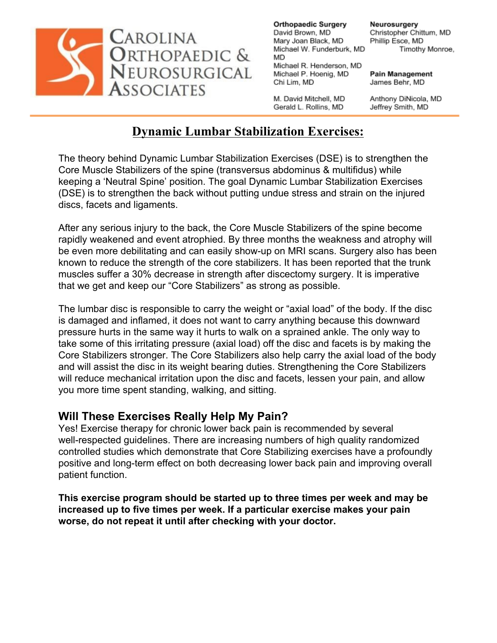

Neurosurgery Christopher Chittum, MD Phillip Esce, MD Timothy Monroe,

**Pain Management** James Behr, MD

M. David Mitchell, MD Gerald L. Rollins, MD

Anthony DiNicola, MD Jeffrey Smith, MD

## **Dynamic Lumbar Stabilization Exercises:**

The theory behind Dynamic Lumbar Stabilization Exercises (DSE) is to strengthen the Core Muscle Stabilizers of the spine (transversus abdominus & multifidus) while keeping a 'Neutral Spine' position. The goal Dynamic Lumbar Stabilization Exercises (DSE) is to strengthen the back without putting undue stress and strain on the injured discs, facets and ligaments.

After any serious injury to the back, the Core Muscle Stabilizers of the spine become rapidly weakened and event atrophied. By three months the weakness and atrophy will be even more debilitating and can easily show-up on MRI scans. Surgery also has been known to reduce the strength of the core stabilizers. It has been reported that the trunk muscles suffer a 30% decrease in strength after discectomy surgery. It is imperative that we get and keep our "Core Stabilizers" as strong as possible.

The lumbar disc is responsible to carry the weight or "axial load" of the body. If the disc is damaged and inflamed, it does not want to carry anything because this downward pressure hurts in the same way it hurts to walk on a sprained ankle. The only way to take some of this irritating pressure (axial load) off the disc and facets is by making the Core Stabilizers stronger. The Core Stabilizers also help carry the axial load of the body and will assist the disc in its weight bearing duties. Strengthening the Core Stabilizers will reduce mechanical irritation upon the disc and facets, lessen your pain, and allow you more time spent standing, walking, and sitting.

## **Will These Exercises Really Help My Pain?**

Yes! Exercise therapy for chronic lower back pain is recommended by several well-respected guidelines. There are increasing numbers of high quality randomized controlled studies which demonstrate that Core Stabilizing exercises have a profoundly positive and long-term effect on both decreasing lower back pain and improving overall patient function.

**This exercise program should be started up to three times per week and may be increased up to five times per week. If a particular exercise makes your pain worse, do not repeat it until after checking with your doctor.**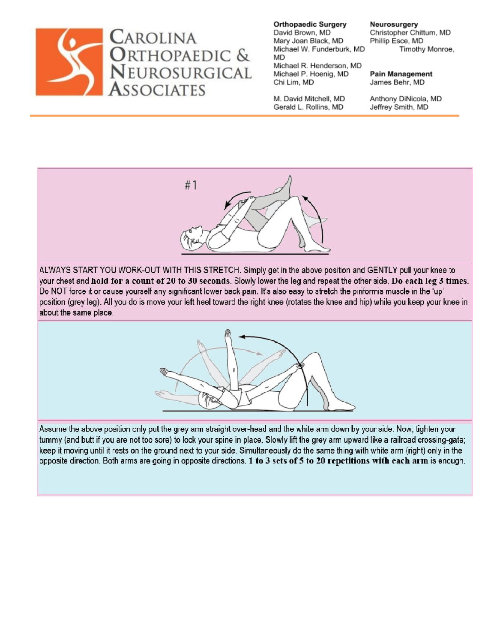

M. David Mitchell, MD Gerald L. Rollins, MD

Neurosurgery Christopher Chittum, MD Phillip Esce, MD Timothy Monroe,

**Pain Management** James Behr, MD

Anthony DiNicola, MD Jeffrey Smith, MD



ALWAYS START YOU WORK-OUT WITH THIS STRETCH. Simply get in the above position and GENTLY pull your knee to your chest and hold for a count of 20 to 30 seconds. Slowly lower the leg and repeat the other side. Do each leg 3 times. Do NOT force it or cause yourself any significant lower back pain. It's also easy to stretch the piriformis muscle in the 'up' position (grey leg). All you do is move your left heel toward the right knee (rotates the knee and hip) while you keep your knee in about the same place.



Assume the above position only put the grey arm straight over-head and the white arm down by your side. Now, tighten your tummy (and butt if you are not too sore) to lock your spine in place. Slowly lift the grey arm upward like a railroad crossing-gate; keep it moving until it rests on the ground next to your side. Simultaneously do the same thing with white arm (right) only in the opposite direction. Both arms are going in opposite directions. 1 to 3 sets of 5 to 20 repetitions with each arm is enough.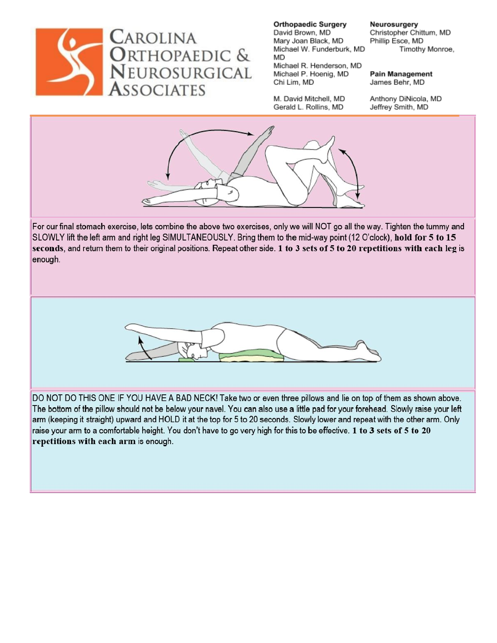

M. David Mitchell, MD Gerald L. Rollins, MD

Neurosurgery Christopher Chittum, MD Phillip Esce, MD Timothy Monroe,

**Pain Management** James Behr, MD

Anthony DiNicola, MD Jeffrey Smith, MD



For our final stomach exercise, lets combine the above two exercises, only we will NOT go all the way. Tighten the tummy and SLOWLY lift the left arm and right leg SIMULTANEOUSLY. Bring them to the mid-way point (12 O'clock), hold for 5 to 15 seconds, and return them to their original positions. Repeat other side. 1 to 3 sets of 5 to 20 repetitions with each leg is enough.



DO NOT DO THIS ONE IF YOU HAVE A BAD NECK! Take two or even three pillows and lie on top of them as shown above. The bottom of the pillow should not be below your navel. You can also use a little pad for your forehead. Slowly raise your left arm (keeping it straight) upward and HOLD it at the top for 5 to 20 seconds. Slowly lower and repeat with the other arm. Only raise your arm to a comfortable height. You don't have to go very high for this to be effective. 1 to 3 sets of 5 to 20 repetitions with each arm is enough.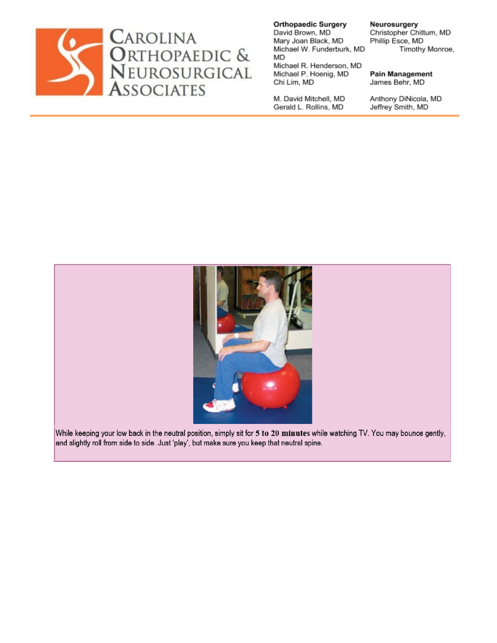

**Orthopaedic Surgery** David Brown, MD Mary Joan Black, MD Michael W. Funderburk, MD MD Michael R. Henderson, MD

Michael P. Hoenig, MD Chi Lim, MD

M. David Mitchell, MD Gerald L. Rollins, MD

Neurosurgery Christopher Chittum, MD Phillip Esce, MD Timothy Monroe,

**Pain Management** James Behr, MD

Anthony DiNicola, MD Jeffrey Smith, MD



While keeping your low back in the neutral position, simply sit for 5 to 20 minutes while watching TV. You may bounce gently, and slightly roll from side to side. Just 'play', but make sure you keep that neutral spine.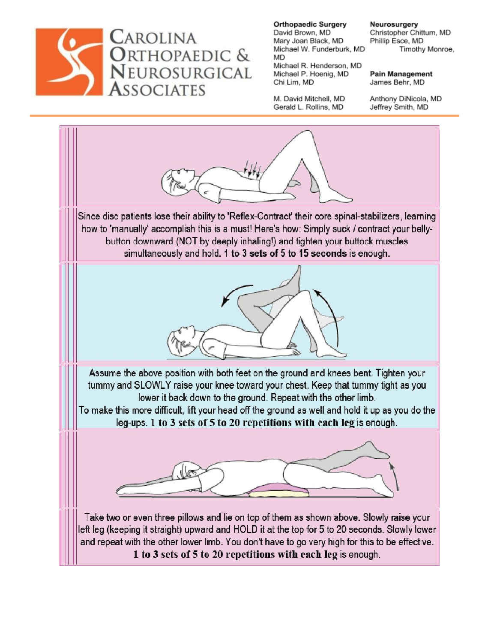

M. David Mitchell, MD Gerald L. Rollins, MD

Chi Lim, MD

Neurosurgery Christopher Chittum, MD Phillip Esce, MD Timothy Monroe,

**Pain Management** James Behr, MD

Anthony DiNicola, MD Jeffrey Smith, MD